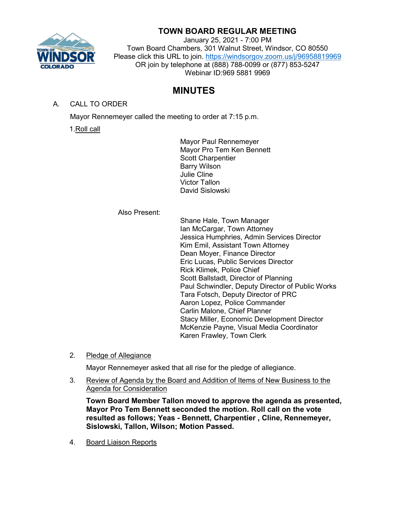

## **TOWN BOARD REGULAR MEETING**

January 25, 2021 - 7:00 PM Town Board Chambers, 301 Walnut Street, Windsor, CO 80550 Please click this URL to join. <https://windsorgov.zoom.us/j/96958819969> OR join by telephone at (888) 788-0099 or (877) 853-5247 Webinar ID:969 5881 9969

# **MINUTES**

## A. CALL TO ORDER

Mayor Rennemeyer called the meeting to order at 7:15 p.m.

1.Roll call

Mayor Paul Rennemeyer Mayor Pro Tem Ken Bennett Scott Charpentier Barry Wilson Julie Cline Victor Tallon David Sislowski

Also Present:

Shane Hale, Town Manager Ian McCargar, Town Attorney Jessica Humphries, Admin Services Director Kim Emil, Assistant Town Attorney Dean Moyer, Finance Director Eric Lucas, Public Services Director Rick Klimek, Police Chief Scott Ballstadt, Director of Planning Paul Schwindler, Deputy Director of Public Works Tara Fotsch, Deputy Director of PRC Aaron Lopez, Police Commander Carlin Malone, Chief Planner Stacy Miller, Economic Development Director McKenzie Payne, Visual Media Coordinator Karen Frawley, Town Clerk

2. Pledge of Allegiance

Mayor Rennemeyer asked that all rise for the pledge of allegiance.

3. Review of Agenda by the Board and Addition of Items of New Business to the Agenda for Consideration

**Town Board Member Tallon moved to approve the agenda as presented, Mayor Pro Tem Bennett seconded the motion. Roll call on the vote resulted as follows; Yeas - Bennett, Charpentier , Cline, Rennemeyer, Sislowski, Tallon, Wilson; Motion Passed.**

4. Board Liaison Reports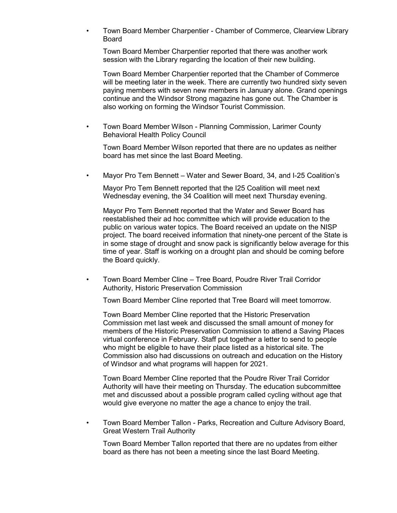• Town Board Member Charpentier - Chamber of Commerce, Clearview Library Board

Town Board Member Charpentier reported that there was another work session with the Library regarding the location of their new building.

Town Board Member Charpentier reported that the Chamber of Commerce will be meeting later in the week. There are currently two hundred sixty seven paying members with seven new members in January alone. Grand openings continue and the Windsor Strong magazine has gone out. The Chamber is also working on forming the Windsor Tourist Commission.

• Town Board Member Wilson - Planning Commission, Larimer County Behavioral Health Policy Council

Town Board Member Wilson reported that there are no updates as neither board has met since the last Board Meeting.

• Mayor Pro Tem Bennett – Water and Sewer Board, 34, and I-25 Coalition's

Mayor Pro Tem Bennett reported that the I25 Coalition will meet next Wednesday evening, the 34 Coalition will meet next Thursday evening.

Mayor Pro Tem Bennett reported that the Water and Sewer Board has reestablished their ad hoc committee which will provide education to the public on various water topics. The Board received an update on the NISP project. The board received information that ninety-one percent of the State is in some stage of drought and snow pack is significantly below average for this time of year. Staff is working on a drought plan and should be coming before the Board quickly.

• Town Board Member Cline – Tree Board, Poudre River Trail Corridor Authority, Historic Preservation Commission

Town Board Member Cline reported that Tree Board will meet tomorrow.

Town Board Member Cline reported that the Historic Preservation Commission met last week and discussed the small amount of money for members of the Historic Preservation Commission to attend a Saving Places virtual conference in February. Staff put together a letter to send to people who might be eligible to have their place listed as a historical site. The Commission also had discussions on outreach and education on the History of Windsor and what programs will happen for 2021.

Town Board Member Cline reported that the Poudre River Trail Corridor Authority will have their meeting on Thursday. The education subcommittee met and discussed about a possible program called cycling without age that would give everyone no matter the age a chance to enjoy the trail.

• Town Board Member Tallon - Parks, Recreation and Culture Advisory Board, Great Western Trail Authority

Town Board Member Tallon reported that there are no updates from either board as there has not been a meeting since the last Board Meeting.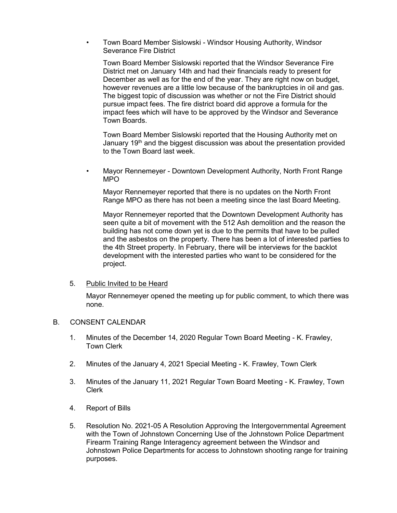• Town Board Member Sislowski - Windsor Housing Authority, Windsor Severance Fire District

Town Board Member Sislowski reported that the Windsor Severance Fire District met on January 14th and had their financials ready to present for December as well as for the end of the year. They are right now on budget, however revenues are a little low because of the bankruptcies in oil and gas. The biggest topic of discussion was whether or not the Fire District should pursue impact fees. The fire district board did approve a formula for the impact fees which will have to be approved by the Windsor and Severance Town Boards.

Town Board Member Sislowski reported that the Housing Authority met on January 19<sup>th</sup> and the biggest discussion was about the presentation provided to the Town Board last week.

• Mayor Rennemeyer - Downtown Development Authority, North Front Range MPO

Mayor Rennemeyer reported that there is no updates on the North Front Range MPO as there has not been a meeting since the last Board Meeting.

Mayor Rennemeyer reported that the Downtown Development Authority has seen quite a bit of movement with the 512 Ash demolition and the reason the building has not come down yet is due to the permits that have to be pulled and the asbestos on the property. There has been a lot of interested parties to the 4th Street property. In February, there will be interviews for the backlot development with the interested parties who want to be considered for the project.

#### 5. Public Invited to be Heard

Mayor Rennemeyer opened the meeting up for public comment, to which there was none.

#### B. CONSENT CALENDAR

- 1. Minutes of the December 14, 2020 Regular Town Board Meeting K. Frawley, Town Clerk
- 2. Minutes of the January 4, 2021 Special Meeting K. Frawley, Town Clerk
- 3. Minutes of the January 11, 2021 Regular Town Board Meeting K. Frawley, Town Clerk
- 4. Report of Bills
- 5. Resolution No. 2021-05 A Resolution Approving the Intergovernmental Agreement with the Town of Johnstown Concerning Use of the Johnstown Police Department Firearm Training Range Interagency agreement between the Windsor and Johnstown Police Departments for access to Johnstown shooting range for training purposes.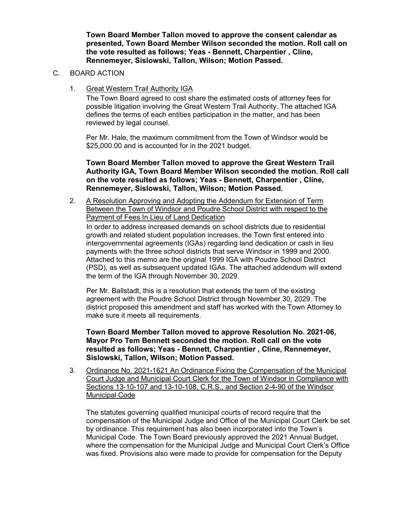**Town Board Member Tallon moved to approve the consent calendar as presented, Town Board Member Wilson seconded the motion. Roll call on the vote resulted as follows; Yeas - Bennett, Charpentier , Cline, Rennemeyer, Sislowski, Tallon, Wilson; Motion Passed.**

- C. BOARD ACTION
	- 1. Great Western Trail Authority IGA

The Town Board agreed to cost share the estimated costs of attorney fees for possible litigation involving the Great Western Trail Authority. The attached IGA defines the terms of each entities participation in the matter, and has been reviewed by legal counsel.

Per Mr. Hale, the maximum commitment from the Town of Windsor would be \$25,000.00 and is accounted for in the 2021 budget.

**Town Board Member Tallon moved to approve the Great Western Trail Authority IGA, Town Board Member Wilson seconded the motion. Roll call on the vote resulted as follows; Yeas - Bennett, Charpentier , Cline, Rennemeyer, Sislowski, Tallon, Wilson; Motion Passed.**

2. A Resolution Approving and Adopting the Addendum for Extension of Term Between the Town of Windsor and Poudre School District with respect to the Payment of Fees In Lieu of Land Dedication

In order to address increased demands on school districts due to residential growth and related student population increases, the Town first entered into intergovernmental agreements (IGAs) regarding land dedication or cash in lieu payments with the three school districts that serve Windsor in 1999 and 2000. Attached to this memo are the original 1999 IGA with Poudre School District (PSD), as well as subsequent updated IGAs. The attached addendum will extend the term of the IGA through November 30, 2029.

Per Mr. Ballstadt, this is a resolution that extends the term of the existing agreement with the Poudre School District through November 30, 2029. The district proposed this amendment and staff has worked with the Town Attorney to make sure it meets all requirements.

**Town Board Member Tallon moved to approve Resolution No. 2021-06, Mayor Pro Tem Bennett seconded the motion. Roll call on the vote resulted as follows; Yeas - Bennett, Charpentier , Cline, Rennemeyer, Sislowski, Tallon, Wilson; Motion Passed.**

3. Ordinance No. 2021-1621 An Ordinance Fixing the Compensation of the Municipal Court Judge and Municipal Court Clerk for the Town of Windsor in Compliance with Sections 13-10-107 and 13-10-108, C.R.S., and Section 2-4-90 of the Windsor Municipal Code

The statutes governing qualified municipal courts of record require that the compensation of the Municipal Judge and Office of the Municipal Court Clerk be set by ordinance. This requirement has also been incorporated into the Town's Municipal Code. The Town Board previously approved the 2021 Annual Budget, where the compensation for the Municipal Judge and Municipal Court Clerk's Office was fixed. Provisions also were made to provide for compensation for the Deputy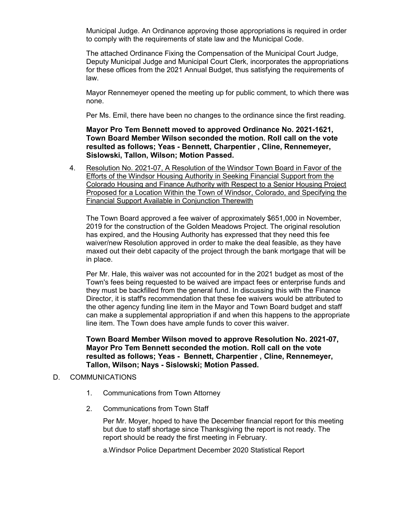Municipal Judge. An Ordinance approving those appropriations is required in order to comply with the requirements of state law and the Municipal Code.

The attached Ordinance Fixing the Compensation of the Municipal Court Judge, Deputy Municipal Judge and Municipal Court Clerk, incorporates the appropriations for these offices from the 2021 Annual Budget, thus satisfying the requirements of law.

Mayor Rennemeyer opened the meeting up for public comment, to which there was none.

Per Ms. Emil, there have been no changes to the ordinance since the first reading.

**Mayor Pro Tem Bennett moved to approved Ordinance No. 2021-1621, Town Board Member Wilson seconded the motion. Roll call on the vote resulted as follows; Yeas - Bennett, Charpentier , Cline, Rennemeyer, Sislowski, Tallon, Wilson; Motion Passed.**

4. Resolution No. 2021-07, A Resolution of the Windsor Town Board in Favor of the Efforts of the Windsor Housing Authority in Seeking Financial Support from the Colorado Housing and Finance Authority with Respect to a Senior Housing Project Proposed for a Location Within the Town of Windsor, Colorado, and Specifying the Financial Support Available in Conjunction Therewith

The Town Board approved a fee waiver of approximately \$651,000 in November, 2019 for the construction of the Golden Meadows Project. The original resolution has expired, and the Housing Authority has expressed that they need this fee waiver/new Resolution approved in order to make the deal feasible, as they have maxed out their debt capacity of the project through the bank mortgage that will be in place.

Per Mr. Hale, this waiver was not accounted for in the 2021 budget as most of the Town's fees being requested to be waived are impact fees or enterprise funds and they must be backfilled from the general fund. In discussing this with the Finance Director, it is staff's recommendation that these fee waivers would be attributed to the other agency funding line item in the Mayor and Town Board budget and staff can make a supplemental appropriation if and when this happens to the appropriate line item. The Town does have ample funds to cover this waiver.

**Town Board Member Wilson moved to approve Resolution No. 2021-07, Mayor Pro Tem Bennett seconded the motion. Roll call on the vote resulted as follows; Yeas - Bennett, Charpentier , Cline, Rennemeyer, Tallon, Wilson; Nays - Sislowski; Motion Passed.**

## D. COMMUNICATIONS

- 1. Communications from Town Attorney
- 2. Communications from Town Staff

Per Mr. Moyer, hoped to have the December financial report for this meeting but due to staff shortage since Thanksgiving the report is not ready. The report should be ready the first meeting in February.

a.Windsor Police Department December 2020 Statistical Report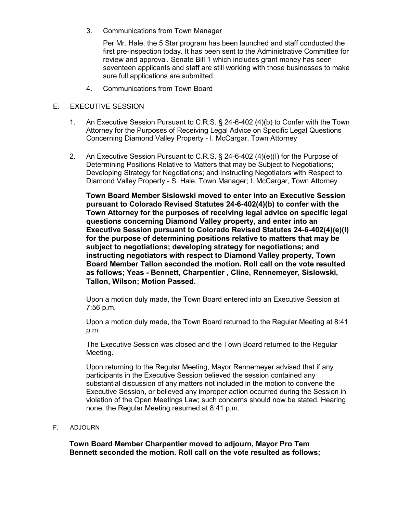3. Communications from Town Manager

Per Mr. Hale, the 5 Star program has been launched and staff conducted the first pre-inspection today. It has been sent to the Administrative Committee for review and approval. Senate Bill 1 which includes grant money has seen seventeen applicants and staff are still working with those businesses to make sure full applications are submitted.

4. Communications from Town Board

### E. EXECUTIVE SESSION

- 1. An Executive Session Pursuant to C.R.S. § 24-6-402 (4)(b) to Confer with the Town Attorney for the Purposes of Receiving Legal Advice on Specific Legal Questions Concerning Diamond Valley Property - I. McCargar, Town Attorney
- 2. An Executive Session Pursuant to C.R.S. § 24-6-402 (4)(e)(I) for the Purpose of Determining Positions Relative to Matters that may be Subject to Negotiations; Developing Strategy for Negotiations; and Instructing Negotiators with Respect to Diamond Valley Property - S. Hale, Town Manager; I. McCargar, Town Attorney

**Town Board Member Sislowski moved to enter into an Executive Session pursuant to Colorado Revised Statutes 24-6-402(4)(b) to confer with the Town Attorney for the purposes of receiving legal advice on specific legal questions concerning Diamond Valley property, and enter into an Executive Session pursuant to Colorado Revised Statutes 24-6-402(4)(e)(I) for the purpose of determining positions relative to matters that may be subject to negotiations; developing strategy for negotiations; and instructing negotiators with respect to Diamond Valley property, Town Board Member Tallon seconded the motion. Roll call on the vote resulted as follows; Yeas - Bennett, Charpentier , Cline, Rennemeyer, Sislowski, Tallon, Wilson; Motion Passed.**

Upon a motion duly made, the Town Board entered into an Executive Session at 7:56 p.m.

Upon a motion duly made, the Town Board returned to the Regular Meeting at 8:41 p.m.

The Executive Session was closed and the Town Board returned to the Regular Meeting.

Upon returning to the Regular Meeting, Mayor Rennemeyer advised that if any participants in the Executive Session believed the session contained any substantial discussion of any matters not included in the motion to convene the Executive Session, or believed any improper action occurred during the Session in violation of the Open Meetings Law; such concerns should now be stated. Hearing none, the Regular Meeting resumed at 8:41 p.m.

### F. ADJOURN

**Town Board Member Charpentier moved to adjourn, Mayor Pro Tem Bennett seconded the motion. Roll call on the vote resulted as follows;**